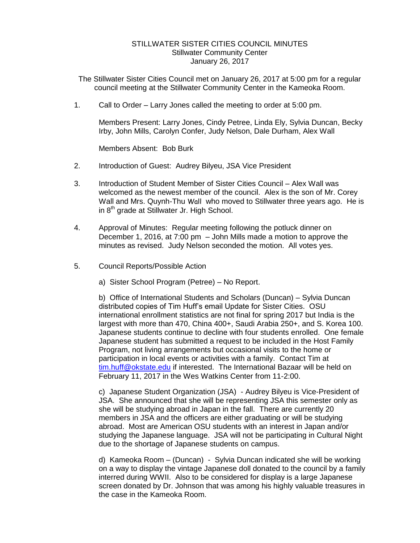## STILLWATER SISTER CITIES COUNCIL MINUTES Stillwater Community Center January 26, 2017

- The Stillwater Sister Cities Council met on January 26, 2017 at 5:00 pm for a regular council meeting at the Stillwater Community Center in the Kameoka Room.
- 1. Call to Order Larry Jones called the meeting to order at 5:00 pm.

Members Present: Larry Jones, Cindy Petree, Linda Ely, Sylvia Duncan, Becky Irby, John Mills, Carolyn Confer, Judy Nelson, Dale Durham, Alex Wall

Members Absent: Bob Burk

- 2. Introduction of Guest: Audrey Bilyeu, JSA Vice President
- 3. Introduction of Student Member of Sister Cities Council Alex Wall was welcomed as the newest member of the council. Alex is the son of Mr. Corey Wall and Mrs. Quynh-Thu Wall who moved to Stillwater three years ago. He is in  $8<sup>th</sup>$  grade at Stillwater Jr. High School.
- 4. Approval of Minutes: Regular meeting following the potluck dinner on December 1, 2016, at 7:00 pm – John Mills made a motion to approve the minutes as revised. Judy Nelson seconded the motion. All votes yes.
- 5. Council Reports/Possible Action
	- a) Sister School Program (Petree) No Report.

b) Office of International Students and Scholars (Duncan) – Sylvia Duncan distributed copies of Tim Huff's email Update for Sister Cities. OSU international enrollment statistics are not final for spring 2017 but India is the largest with more than 470, China 400+, Saudi Arabia 250+, and S. Korea 100. Japanese students continue to decline with four students enrolled. One female Japanese student has submitted a request to be included in the Host Family Program, not living arrangements but occasional visits to the home or participation in local events or activities with a family. Contact Tim at [tim.huff@okstate.edu](mailto:tim.huff@okstate.edu) if interested. The International Bazaar will be held on February 11, 2017 in the Wes Watkins Center from 11-2:00.

c) Japanese Student Organization (JSA) - Audrey Bilyeu is Vice-President of JSA. She announced that she will be representing JSA this semester only as she will be studying abroad in Japan in the fall. There are currently 20 members in JSA and the officers are either graduating or will be studying abroad. Most are American OSU students with an interest in Japan and/or studying the Japanese language. JSA will not be participating in Cultural Night due to the shortage of Japanese students on campus.

d) Kameoka Room – (Duncan) - Sylvia Duncan indicated she will be working on a way to display the vintage Japanese doll donated to the council by a family interred during WWII. Also to be considered for display is a large Japanese screen donated by Dr. Johnson that was among his highly valuable treasures in the case in the Kameoka Room.